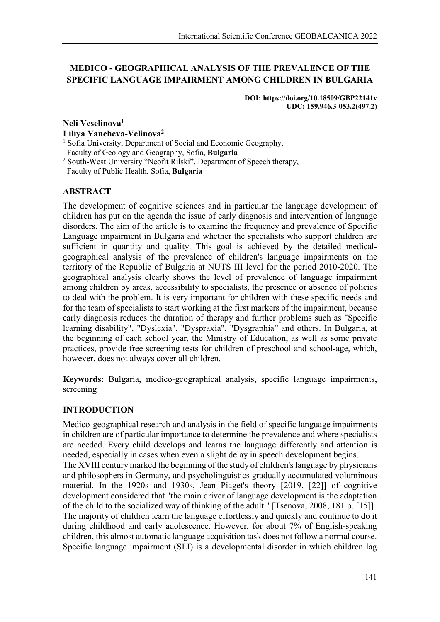# **MEDICO - GEOGRAPHICAL ANALYSIS OF THE PREVALENCE OF THE SPECIFIC LANGUAGE IMPAIRMENT AMONG CHILDREN IN BULGARIA**

**DOI: https://doi.org/10.18509/GBP22141v UDC: 159.946.3-053.2(497.2)**

#### **Neli Veselinova1 Liliya Yancheva-Velinova2** <sup>1</sup> Sofia University, Department of Social and Economic Geography,

Faculty of Geology and Geography, Sofia, **Bulgaria** <sup>2</sup> South-West University "Neofit Rilski", Department of Speech therapy,

Faculty of Public Health, Sofia, **Bulgaria**

## **ABSTRACT**

The development of cognitive sciences and in particular the language development of children has put on the agenda the issue of early diagnosis and intervention of language disorders. The aim of the article is to examine the frequency and prevalence of Specific Language impairment in Bulgaria and whether the specialists who support children are sufficient in quantity and quality. This goal is achieved by the detailed medicalgeographical analysis of the prevalence of children's language impairments on the territory of the Republic of Bulgaria at NUTS III level for the period 2010-2020. The geographical analysis clearly shows the level of prevalence of language impairment among children by areas, accessibility to specialists, the presence or absence of policies to deal with the problem. It is very important for children with these specific needs and for the team of specialists to start working at the first markers of the impairment, because early diagnosis reduces the duration of therapy and further problems such as "Specific learning disability", "Dyslexia", "Dyspraxia", "Dysgraphia" and others. In Bulgaria, at the beginning of each school year, the Ministry of Education, as well as some private practices, provide free screening tests for children of preschool and school-age, which, however, does not always cover all children.

**Keywords**: Bulgaria, medico-geographical analysis, specific language impairments, screening

# **INTRODUCTION**

Medico-geographical research and analysis in the field of specific language impairments in children are of particular importance to determine the prevalence and where specialists are needed. Every child develops and learns the language differently and attention is needed, especially in cases when even a slight delay in speech development begins. The XVIII century marked the beginning of the study of children's language by physicians and philosophers in Germany, and psycholinguistics gradually accumulated voluminous material. In the 1920s and 1930s, Jean Piaget's theory [2019, [22]] of cognitive development considered that "the main driver of language development is the adaptation of the child to the socialized way of thinking of the adult." [Tsenova, 2008, 181 p. [15]] The majority of children learn the language effortlessly and quickly and continue to do it during childhood and early adolescence. However, for about 7% of English-speaking children, this almost automatic language acquisition task does not follow a normal course.

Specific language impairment (SLI) is a developmental disorder in which children lag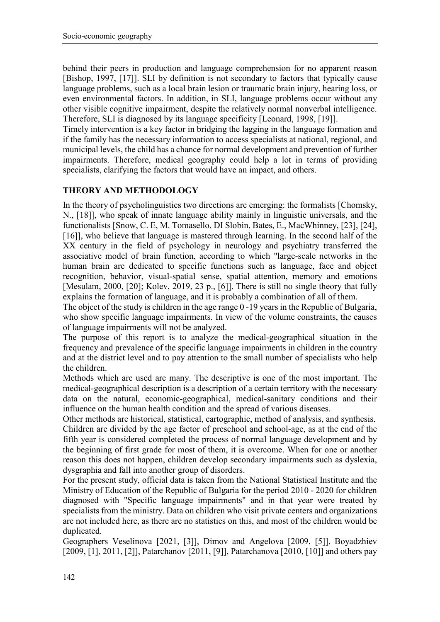behind their peers in production and language comprehension for no apparent reason [Bishop, 1997, [17]]. SLI by definition is not secondary to factors that typically cause language problems, such as a local brain lesion or traumatic brain injury, hearing loss, or even environmental factors. In addition, in SLI, language problems occur without any other visible cognitive impairment, despite the relatively normal nonverbal intelligence. Therefore, SLI is diagnosed by its language specificity [Leonard, 1998, [19]].

Timely intervention is a key factor in bridging the lagging in the language formation and if the family has the necessary information to access specialists at national, regional, and municipal levels, the child has a chance for normal development and prevention of further impairments. Therefore, medical geography could help a lot in terms of providing specialists, clarifying the factors that would have an impact, and others.

## **THEORY AND METHODOLOGY**

In the theory of psycholinguistics two directions are emerging: the formalists [Chomsky, N., [18]], who speak of innate language ability mainly in linguistic universals, and the functionalists [Snow, C. E, M. Tomasello, DI Slobin, Bates, E., MacWhinney, [23], [24], [16], who believe that language is mastered through learning. In the second half of the XX century in the field of psychology in neurology and psychiatry transferred the associative model of brain function, according to which "large-scale networks in the human brain are dedicated to specific functions such as language, face and object recognition, behavior, visual-spatial sense, spatial attention, memory and emotions [Mesulam, 2000, [20]; Kolev, 2019, 23 p., [6]]. There is still no single theory that fully explains the formation of language, and it is probably a combination of all of them.

The object of the study is children in the age range 0 -19 years in the Republic of Bulgaria, who show specific language impairments. In view of the volume constraints, the causes of language impairments will not be analyzed.

The purpose of this report is to analyze the medical-geographical situation in the frequency and prevalence of the specific language impairments in children in the country and at the district level and to pay attention to the small number of specialists who help the children.

Methods which are used are many. The descriptive is one of the most important. The medical-geographical description is a description of a certain territory with the necessary data on the natural, economic-geographical, medical-sanitary conditions and their influence on the human health condition and the spread of various diseases.

Other methods are historical, statistical, cartographic, method of analysis, and synthesis. Children are divided by the age factor of preschool and school-age, as at the end of the fifth year is considered completed the process of normal language development and by the beginning of first grade for most of them, it is overcome. When for one or another reason this does not happen, children develop secondary impairments such as dyslexia, dysgraphia and fall into another group of disorders.

For the present study, official data is taken from the National Statistical Institute and the Ministry of Education of the Republic of Bulgaria for the period 2010 - 2020 for children diagnosed with "Specific language impairments" and in that year were treated by specialists from the ministry. Data on children who visit private centers and organizations are not included here, as there are no statistics on this, and most of the children would be duplicated.

Geographers Veselinova [2021, [3]], Dimov and Angelova [2009, [5]], Boyadzhiev [2009, [1], 2011, [2]], Patarchanov [2011, [9]], Patarchanova [2010, [10]] and others pay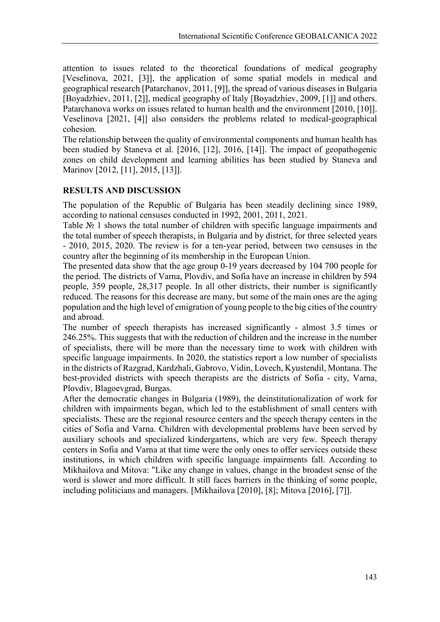attention to issues related to the theoretical foundations of medical geography [Veselinova, 2021, [3]], the application of some spatial models in medical and geographical research [Patarchanov, 2011, [9]], the spread of various diseases in Bulgaria [Boyadzhiev, 2011, [2]], medical geography of Italy [Boyadzhiev, 2009, [1]] and others. Patarchanova works on issues related to human health and the environment [2010, [10]]. Veselinova [2021, [4]] also considers the problems related to medical-geographical cohesion.

The relationship between the quality of environmental components and human health has been studied by Staneva et al. [2016, [12], 2016, [14]]. The impact of geopathogenic zones on child development and learning abilities has been studied by Staneva and Marinov [2012, [11], 2015, [13]].

## **RESULTS AND DISCUSSION**

The population of the Republic of Bulgaria has been steadily declining since 1989, according to national censuses conducted in 1992, 2001, 2011, 2021.

Table № 1 shows the total number of children with specific language impairments and the total number of speech therapists, in Bulgaria and by district, for three selected years - 2010, 2015, 2020. The review is for a ten-year period, between two censuses in the country after the beginning of its membership in the European Union.

The presented data show that the age group 0-19 years decreased by 104 700 people for the period. The districts of Varna, Plovdiv, and Sofia have an increase in children by 594 people, 359 people, 28,317 people. In all other districts, their number is significantly reduced. The reasons for this decrease are many, but some of the main ones are the aging population and the high level of emigration of young people to the big cities of the country and abroad.

The number of speech therapists has increased significantly - almost 3.5 times or 246.25%. This suggests that with the reduction of children and the increase in the number of specialists, there will be more than the necessary time to work with children with specific language impairments. In 2020, the statistics report a low number of specialists in the districts of Razgrad, Kardzhali, Gabrovo, Vidin, Lovech, Kyustendil, Montana. The best-provided districts with speech therapists are the districts of Sofia - city, Varna, Plovdiv, Blagoevgrad, Burgas.

After the democratic changes in Bulgaria (1989), the deinstitutionalization of work for children with impairments began, which led to the establishment of small centers with specialists. These are the regional resource centers and the speech therapy centers in the cities of Sofia and Varna. Children with developmental problems have been served by auxiliary schools and specialized kindergartens, which are very few. Speech therapy centers in Sofia and Varna at that time were the only ones to offer services outside these institutions, in which children with specific language impairments fall. According to Mikhailova and Mitova: "Like any change in values, change in the broadest sense of the word is slower and more difficult. It still faces barriers in the thinking of some people, including politicians and managers. [Mikhailova [2010], [8]; Mitova [2016], [7]].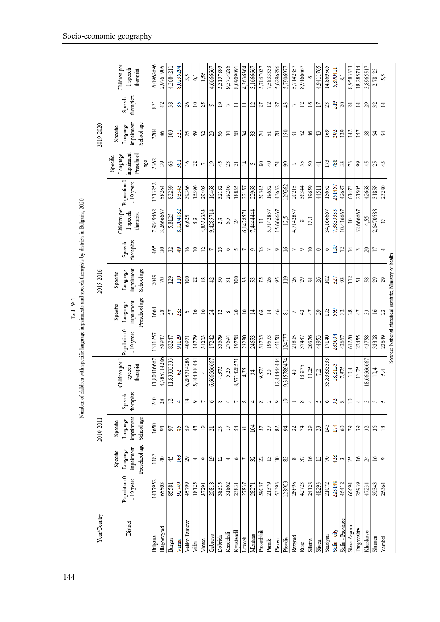| Population 0                                                                                                | Language<br>Specific | 2010-2011<br>Language<br>Specific | Speech | Number of children with specific language impairments and speech therapists by districts in Bulgaria, 2020<br>Children per 1 | Population 0     | Tabl. Nº 1<br>Language<br>Specific | 2015-2016<br>Language<br>Specific                          | Speech          | Children per           | Population 0     | Language<br>Specific           | 2019-2020<br>Language<br>Specific | Speech                           | Children per           |
|-------------------------------------------------------------------------------------------------------------|----------------------|-----------------------------------|--------|------------------------------------------------------------------------------------------------------------------------------|------------------|------------------------------------|------------------------------------------------------------|-----------------|------------------------|------------------|--------------------------------|-----------------------------------|----------------------------------|------------------------|
| therapist<br>speech<br>therapists<br>impairment<br>School age<br>Preschool age<br>impairment<br>$-19$ years |                      |                                   |        |                                                                                                                              | $-19$ years      | Preschool age<br>impainment        | impairment<br>School age                                   | therapists      | 1 speech<br>therapist  | $-19$ years      | impairment<br>Preschool<br>age | impairment<br>School age          | therapists                       | 1 speech<br>therapist  |
| 4,785714286<br>11,80416667<br>240<br>28<br>1650<br>94<br>1183<br>$\overline{40}$<br>1417952<br>65503        |                      |                                   |        |                                                                                                                              | 1311257<br>58947 | 1664<br>28                         | 2049<br>70                                                 | 465<br>30       | 7,9849462<br>3,2666667 | 1313252<br>58264 | 2362<br>39                     | 2704<br>86                        | 831<br>42                        | 6,0962696<br>2,9761905 |
| $\overline{12}$<br>57<br>45<br>85581                                                                        |                      |                                   |        | 11,8333333                                                                                                                   | 82247            | 57                                 | 129                                                        | 32              | 5,8125                 | 83239            | 63                             | 103                               | 38                               | 4,3684211              |
| 4<br>85<br>163<br>92749                                                                                     |                      |                                   |        | $\infty$                                                                                                                     | 91129            | 283                                | 110                                                        | $\ddot{ }$      | 8.0204082              | 93343            | 361                            | 321                               | S <sub>5</sub>                   | 8.0235294              |
| $\overline{14}$<br>59<br>29<br>45799                                                                        |                      |                                   |        | 6,285714286                                                                                                                  | 40971            | 9                                  | 100                                                        | $\overline{16}$ | 6,625                  | 39366            | $\frac{16}{2}$                 | 75                                | 26                               | 3,5                    |
| Ó<br>45<br>4<br>18125                                                                                       |                      |                                   |        | 5,44444444                                                                                                                   | 14779            | 16                                 | 22                                                         | $\overline{10}$ | 3,8                    | 13396            | 22                             | 39                                | $\Xi$                            | 6,1                    |
| L<br>$\overline{19}$<br>Q<br>37291                                                                          |                      |                                   |        |                                                                                                                              | 31203            | $\approx$                          | 48                                                         | $\overline{c}$  | 4,8333333              | 29408            | L                              | 32                                | 25                               | 1,56                   |
| 6<br>$\overline{a}$<br>$\overline{19}$<br>20818                                                             |                      |                                   |        | 6,666666667                                                                                                                  | 17242            | $^{24}$                            | 42                                                         | 7               | 9,4285714              | 16468            | 19                             | 23                                | Ó                                | 4,6666667              |
| $\infty$<br>$^{23}$<br>$\overline{12}$<br>38315                                                             |                      |                                   |        | 4,375                                                                                                                        | 33679            | $\mathbf{r}$                       | 30                                                         | $\overline{15}$ | 2,8                    | 32182            | 45                             | 56                                | $\overline{1}9$                  | 5,3157895              |
| 4<br>$\overline{17}$<br>4<br>31862                                                                          |                      |                                   |        | 5,25                                                                                                                         | 27694            | 8                                  | $\overline{31}$                                            | 9               | 5 <sub>0</sub>         | 29246            | 23                             | $\ddagger$                        | ŗ                                | 9,5714286              |
| 7<br>54<br>6<br>23831                                                                                       |                      |                                   |        | 8,571428571                                                                                                                  | 19758            | $\overline{c}$                     | 100                                                        | S               | $\overline{c}$         | 18835            | $\overline{21}$                | 89                                | $\equiv$                         | 8,0909091              |
| 8<br>$\overline{31}$<br>٣<br>27837                                                                          |                      |                                   |        | 4,75                                                                                                                         | 23280            | $\approx$                          | 33                                                         | 7               | 6,1428571              | 22157            | $\overline{1}$                 | $\frac{34}{3}$                    | $\equiv$                         | 4,3636364              |
| 4<br>104<br>32<br>28271                                                                                     |                      |                                   |        | 34                                                                                                                           | 24653            | $\Xi$                              | 53                                                         | Ó               | 7,444444               | 22968            | S                              | $33\,$                            | $\overline{1}$                   | 3,1666667              |
| 8<br>57<br>22<br>59057                                                                                      |                      |                                   |        | 9,875                                                                                                                        | 51765            | 68                                 | 75                                                         | $\mathbf{r}$    | $\equiv$               | 50545            | 80                             | 74                                | 27                               | 5,7037037              |
| 2<br>27<br>13<br>21379                                                                                      |                      |                                   |        | $\approx$                                                                                                                    | 19573            | $\overline{1}$                     | 26                                                         | L               | 5,7142857              | 19632            | $\overline{4}$                 | 51                                | $\mathbf{r}$                     | 7,5833333              |
| Ó<br>82<br>$30\,$<br>53393                                                                                  |                      |                                   |        | 12.44444444                                                                                                                  | 45158            | 46                                 | 95                                                         | Ó               | 15,666667              | 43632            |                                | 78                                | 77                               | 5,6296296              |
| 19<br>$\overline{5}$<br>83<br>128903                                                                        |                      |                                   |        | 9,315789474                                                                                                                  | 124777           | 81                                 | 119                                                        | $\overline{16}$ | 12.5                   | 129262           | 99                             | 150                               | 43                               | 5.790697               |
| $\overline{\phantom{0}}$<br>32<br>$\infty$<br>26896                                                         |                      |                                   |        | $\overline{40}$                                                                                                              | 21805            | L                                  | 26                                                         | ſ               | 4,7142857              | 20215            | ó                              | $\overline{31}$                   | $\overline{ }$                   | 5,7142857              |
| $\infty$<br>$\overline{7}$<br>37<br>42723                                                                   |                      |                                   |        | 13,875                                                                                                                       | 37437            | 43                                 | 29                                                         | Q               | 8                      | 36344            | 55                             | $\mathfrak{L}$                    | $\overline{\mathbf{u}}$          | 8,9166667              |
| 4<br>29<br>16<br>24128<br>48293                                                                             |                      |                                   |        | 11,25<br>7,2                                                                                                                 | 20376            | 47                                 | 84                                                         | $\overline{10}$ | 13.1                   | 19659            | 50                             | $\frac{4}{6}$                     | $\frac{1}{6}$<br>$\overline{17}$ | $\circ$                |
| 5<br>23<br>13                                                                                               |                      |                                   |        |                                                                                                                              | 44953            | 29                                 | 26                                                         | $\circ$         |                        | 44511            | $\overline{+}$                 | 43                                |                                  | 4,9411765              |
| 35,8333333<br>6<br>145<br>$\sqrt{2}$<br>21072                                                               |                      |                                   |        |                                                                                                                              | 17140            | 103                                | 102                                                        | 9               | 34,166667              | 15652            | 173                            | 169                               | 23                               | 14,869565              |
| 32<br>174<br>428<br>223140                                                                                  |                      |                                   |        | 18,8125                                                                                                                      | 235634           | 559                                | 327                                                        | 120             | 7.3833333              | 251457           | 788                            | 502                               | 219                              | 5,890411               |
| 7,875<br>$\infty$<br>60<br>3<br>46412                                                                       |                      |                                   |        |                                                                                                                              | 42667            | $\overline{32}$                    | $\frac{3}{2}$                                              | $\overline{c}$  | 10,416667              | 42687            | 33                             | 129                               | 20                               | 5                      |
| 10.4<br>$\supseteq$<br>79<br>25<br>66694                                                                    |                      |                                   |        |                                                                                                                              | 61220            | $^{28}$                            | 112                                                        | $\overline{1}$  | $\overline{10}$        | 61473            | 73                             | 142                               | 24                               | 8,9583333              |
| 4<br>39<br>$\frac{6}{2}$<br>26939                                                                           |                      |                                   |        | 13,75                                                                                                                        | 22455            | 47                                 | 51                                                         | 3               | 32,666667              | 21505            | 99                             | 157                               | $\overline{1}$                   | 18,285714              |
| 3<br>32<br>$^{24}$<br>47234                                                                                 |                      |                                   |        | 18,66666667                                                                                                                  | 43758            | 33                                 | 58                                                         | 20              | 4,55                   | 42668            | 45                             | 68                                | $^{29}$                          | 3,8965517              |
| 5<br>36<br>$\overline{16}$<br>39343                                                                         |                      |                                   |        | 10.4                                                                                                                         | 33308            | $\overline{16}$                    | 29                                                         | 17              | 2,6470588              | 31858            | 25                             | 2                                 | 32                               | 2,78125                |
| 5<br>$\frac{8}{2}$<br>Ç<br>26364                                                                            |                      |                                   |        | 5,4                                                                                                                          | 23649            | 23                                 | 29                                                         | 4               | 13                     | 23280            | 43                             | 34                                | $\overline{1}$                   | 5,5                    |
|                                                                                                             |                      |                                   |        |                                                                                                                              |                  |                                    | Source: National statistical institute; Ministry of health |                 |                        |                  |                                |                                   |                                  |                        |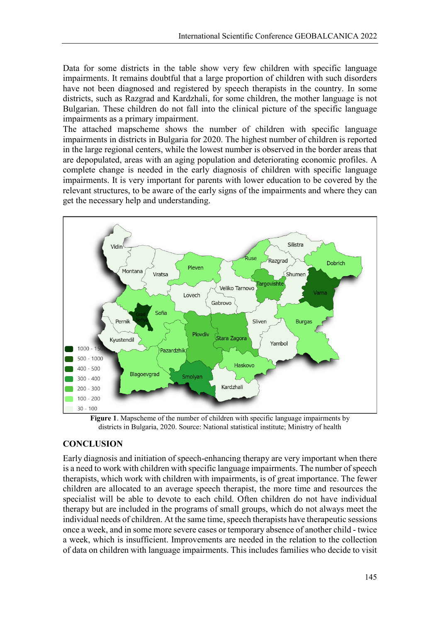Data for some districts in the table show very few children with specific language impairments. It remains doubtful that a large proportion of children with such disorders have not been diagnosed and registered by speech therapists in the country. In some districts, such as Razgrad and Kardzhali, for some children, the mother language is not Bulgarian. These children do not fall into the clinical picture of the specific language impairments as a primary impairment.

The attached mapscheme shows the number of children with specific language impairments in districts in Bulgaria for 2020. The highest number of children is reported in the large regional centers, while the lowest number is observed in the border areas that are depopulated, areas with an aging population and deteriorating economic profiles. A complete change is needed in the early diagnosis of children with specific language impairments. It is very important for parents with lower education to be covered by the relevant structures, to be aware of the early signs of the impairments and where they can get the necessary help and understanding.



**Figure 1**. Mapscheme of the number of children with specific language impairments by districts in Bulgaria, 2020. Source: National statistical institute; Ministry of health

#### **CONCLUSION**

Early diagnosis and initiation of speech-enhancing therapy are very important when there is a need to work with children with specific language impairments. The number of speech therapists, which work with children with impairments, is of great importance. The fewer children are allocated to an average speech therapist, the more time and resources the specialist will be able to devote to each child. Often children do not have individual therapy but are included in the programs of small groups, which do not always meet the individual needs of children. At the same time, speech therapists have therapeutic sessions once a week, and in some more severe cases or temporary absence of another child - twice a week, which is insufficient. Improvements are needed in the relation to the collection of data on children with language impairments. This includes families who decide to visit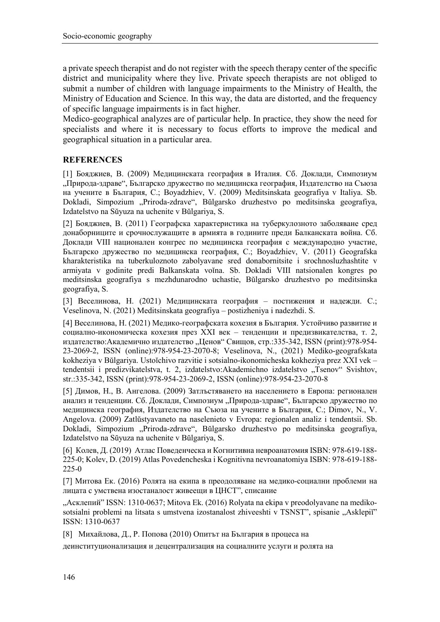a private speech therapist and do not register with the speech therapy center of the specific district and municipality where they live. Private speech therapists are not obliged to submit a number of children with language impairments to the Ministry of Health, the Ministry of Education and Science. In this way, the data are distorted, and the frequency of specific language impairments is in fact higher.

Medico-geographical analyzes are of particular help. In practice, they show the need for specialists and where it is necessary to focus efforts to improve the medical and geographical situation in a particular area.

#### **REFERENCES**

[1] Бояджиев, В. (2009) Медицинската география в Италия. Сб. Доклади, Симпозиум "Природа-здраве", Българско дружество по медицинска география, Издателство на Съюза на учените в България, С.; Boyadzhiev, V. (2009) Meditsinskata geografiya v Italiya. Sb. Dokladi, Simpozium "Priroda-zdrave", Bŭlgarsko druzhestvo po meditsinska geografiya, Izdatelstvo na Sŭyuza na uchenite v Bŭlgariya, S.

[2] Бояджиев, В. (2011) Географска характеристика на туберкулозното заболяване сред донаборниците и срочнослужащите в армията в годините преди Балканската война. Сб. Доклади VIII национален конгрес по медицинска география с международно участие, Българско дружество по медицинска география, С.; Boyadzhiev, V. (2011) Geografska kharakteristika na tuberkuloznoto zabolyavane sred donabornitsite i srochnosluzhashtite v armiyata v godinite predi Balkanskata voĭna. Sb. Dokladi VIII natsionalen kongres po meditsinska geografiya s mezhdunarodno uchastie, Bŭlgarsko druzhestvo po meditsinska geografiya, S.

[3] Веселинова, Н. (2021) Медицинската география – постижения и надежди. С.; Veselinova, N. (2021) Meditsinskata geografiya – postizheniya i nadezhdi. S.

[4] Веселинова, Н. (2021) Медико-географската кохезия в България. Устойчиво развитие и социално-икономическа кохезия през XXI век – тенденции и предизвикателства, т. 2, издателство: Академично издателство "Ценов" Свищов, стр.:335-342, ISSN (print):978-954-23-2069-2, ISSN (online):978-954-23-2070-8; Veselinova, N., (2021) Mediko-geografskata kokheziya v Bŭlgariya. Ustoĭchivo razvitie i sotsialno-ikonomicheska kokheziya prez XXI vek – tendentsii i predizvikatelstva, t. 2, izdatelstvo: Akademichno izdatelstvo "Tsenov" Svishtov, str.:335-342, ISSN (print):978-954-23-2069-2, ISSN (online):978-954-23-2070-8

[5] Димов, Н., В. Ангелова. (2009) Затлъстяването на населението в Европа: регионален анализ и тенденции. Сб. Доклади, Симпозиум "Природа-здраве", Българско дружество по медицинска география, Издателство на Съюза на учените в България, С.; Dimov, N., V. Angelova. (2009) Zatlŭstyavaneto na naselenieto v Evropa: regionalen analiz i tendentsii. Sb. Dokladi, Simpozium "Priroda-zdrave", Bŭlgarsko druzhestvo po meditsinska geografiya, Izdatelstvo na Sŭyuza na uchenite v Bŭlgariya, S.

[6] Колев, Д. (2019) Атлас Поведенческа и Когнитивна невроанатомия ISBN: 978-619-188- 225-0; Kolev, D. (2019) Atlas Povedencheska i Kognitivna nevroanatomiya ISBN: 978-619-188- 225-0

[7] Митова Ек. (2016) Ролята на екипа в преодоляване на медико-социални проблеми на лицата с умствена изостаналост живеещи в ЦНСТ", списание

"Асклепий" ISSN: 1310-0637; Mitova Ek. (2016) Rolyata na ekipa v preodolyavane na medikosotsialni problemi na litsata s umstvena izostanalost zhiveeshti v TSNST", spisanie "Asklepiĭ" ISSN: 1310-0637

[8] Михайлова, Д., Р. Попова (2010) Опитът на България в процеса на

деинституционализация и децентрализация на социалните услуги и ролята на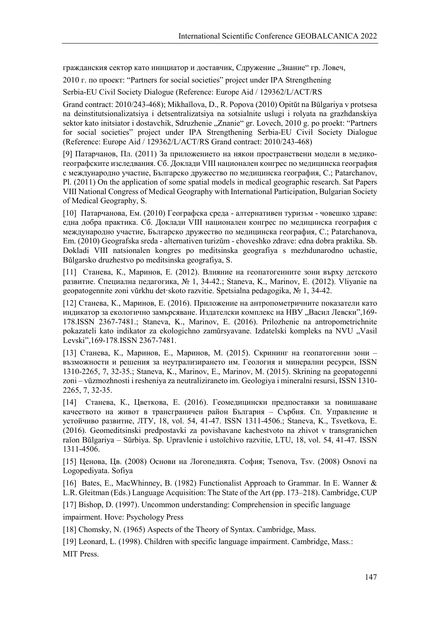гражданския сектор като инициатор и доставчик, Сдружение "Знание" гр. Ловеч,

2010 г. по проект: "Partners for social societies" project under IPA Strengthening

Serbia-EU Civil Society Dialogue (Reference: Europe Aid / 129362/L/ACT/RS

Grand contract: 2010/243-468); Mikhaĭlova, D., R. Popova (2010) Opitŭt na Bŭlgariya v protsesa na deinstitutsionalizatsiya i detsentralizatsiya na sotsialnite uslugi i rolyata na grazhdanskiya sektor kato initsiator i dostavchik, Sdruzhenie "Znanie" gr. Lovech, 2010 g. po proekt: "Partners for social societies" project under IPA Strengthening Serbia-EU Civil Society Dialogue (Reference: Europe Aid / 129362/L/ACT/RS Grand contract: 2010/243-468)

[9] Патарчанов, Пл. (2011) За приложението на някои пространствени модели в медикогеографските изследвания. Сб. Доклади VIII национален конгрес по медицинска география с международно участие, Българско дружество по медицинска география, С.; Patarchanov, Pl. (2011) On the application of some spatial models in medical geographic research. Sat Papers VIII National Congress of Medical Geography with International Participation, Bulgarian Society of Medical Geography, S.

[10] Патарчанова, Ем. (2010) Географска среда - алтернативен туризъм - човешко здраве: една добра практика. Сб. Доклади VIII национален конгрес по медицинска география с международно участие, Българско дружество по медицинска география, С.; Patarchanova, Em. (2010) Geografska sreda - alternativen turizŭm - choveshko zdrave: edna dobra praktika. Sb. Dokladi VIII natsionalen kongres po meditsinska geografiya s mezhdunarodno uchastie, Bŭlgarsko druzhestvo po meditsinska geografiya, S.

[11] Станева, К., Маринов, Е. (2012). Влияние на геопатогенните зони върху детското развитие. Специална педагогика, № 1, 34-42.; Staneva, K., Marinov, E. (2012). Vliyanie na geopatogennite zoni vŭrkhu det·skoto razvitie. Spetsialna pedagogika, № 1, 34-42.

[12] Станева, К., Маринов, Е. (2016). Приложение на антропометричните показатели като индикатор за екологично замърсяване. Издателски комплекс на НВУ "Васил Левски",169-178.ISSN 2367-7481.; Staneva, K., Marinov, E. (2016). Prilozhenie na antropometrichnite pokazateli kato indikator za ekologichno zamŭrsyavane. Izdatelski kompleks na NVU "Vasil Levski",169-178.ISSN 2367-7481.

[13] Станева, К., Маринов, Е., Маринов, М. (2015). Скрининг на геопатогенни зони – възможности и решения за неутрализирането им. Геология и минерални ресурси, ISSN 1310-2265, 7, 32-35.; Staneva, K., Marinov, E., Marinov, M. (2015). Skrining na geopatogenni zoni – vŭzmozhnosti i resheniya za neutraliziraneto im. Geologiya i mineralni resursi, ISSN 1310- 2265, 7, 32-35.

[14] Станева, К., Цветкова, Е. (2016). Геомедицински предпоставки за повишаване качеството на живот в трансграничен район България – Сърбия. Сп. Управление и устойчиво развитие, ЛТУ, 18, vol. 54, 41-47. ISSN 1311-4506.; Staneva, K., Tsvetkova, E. (2016). Geomeditsinski predpostavki za povishavane kachestvoto na zhivot v transgranichen raĭon Bŭlgariya – Sŭrbiya. Sp. Upravlenie i ustoĭchivo razvitie, LTU, 18, vol. 54, 41-47. ISSN 1311-4506.

[15] Ценова, Цв. (2008) Основи на Логопедията. София; Tsenova, Tsv. (2008) Osnovi na Logopediyata. Sofiya

[16] Bates, E., MacWhinney, B. (1982) Functionalist Approach to Grammar. In E. Wanner & L.R. Gleitman (Eds.) Language Acquisition: The State of the Art (pp. 173–218). Cambridge, CUP

[17] Bishop, D. (1997). Uncommon understanding: Comprehension in specific language

impairment. Hove: Psychology Press

[18] Chomsky, N. (1965) Aspects of the Theory of Syntax. Cambridge, Mass.

[19] Leonard, L. (1998). Children with specific language impairment. Cambridge, Mass.:

MIT Press.